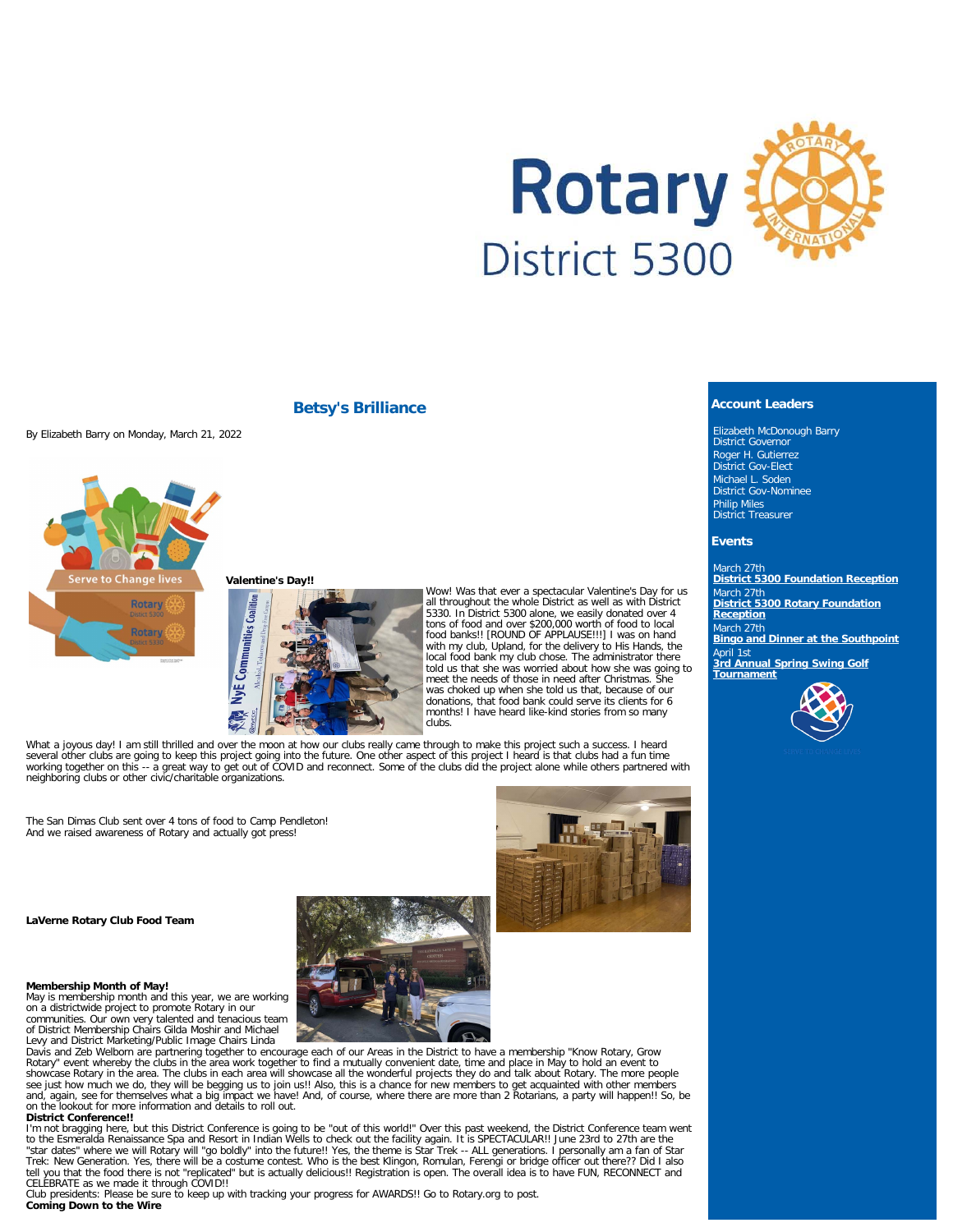

## **Betsy's Brilliance**

By Elizabeth Barry on Monday, March 21, 2022



## **Valentine's Day!!**



Wow! Was that ever a spectacular Valentine's Day for us all throughout the whole District as well as with District 5330. In District 5300 alone, we easily donated over 4 tons of food and over \$200,000 worth of food to local food banks!! [ROUND OF APPLAUSE!!!] I was on hand with my club, Upland, for the delivery to His Hands, the local food bank my club chose. The administrator there told us that she was worried about how she was going to meet the needs of those in need after Christmas. She was choked up when she told us that, because of our donations, that food bank could serve its clients for 6 months! I have heard like-kind stories from so many clubs.

What a joyous day! I am still thrilled and over the moon at how our clubs really came through to make this project such a success. I heard<br>several other clubs are going to keep this project going into the future. One other neighboring clubs or other civic/charitable organizations.

The San Dimas Club sent over 4 tons of food to Camp Pendleton! And we raised awareness of Rotary and actually got press!

#### **LaVerne Rotary Club Food Team**

#### **Membership Month of May!**

May is membership month and this year, we are working on a districtwide project to promote Rotary in our communities. Our own very talented and tenacious team of District Membership Chairs Gilda Moshir and Michael Levy and District Marketing/Public Image Chairs Linda

Davis and Zeb Welborn are partnering together to encourage each of our Areas in the District to have a membership "Know Rotary, Grow<br>Rotary" event whereby the clubs in the area work together to find a mutually convenient d showcase Rotary in the area. The clubs in each area will showcase all the wonderful projects they do and talk about Rotary. The more people<br>see just how much we do, they will be begging us to join us!! Also, this is a chan on the lookout for more information and details to roll out.

### **District Conference!!**

I'm not bragging here, but this District Conference is going to be "out of this world!" Over this past weekend, the District Conference team went<br>to the Esmeralda Renaissance Spa and Resort in Indian Wells to check out the Trek: New Generation. Yes, there will be a costume contest. Who is the best Klingon, Romulan, Ferengi or bridge officer out there?? Did I also<br>tell you that the food there is not "replicated" but is actually delicious!! Re CELEBRATE as we made it through COVID!!

Club presidents: Please be sure to keep up with tracking your progress for AWARDS!! Go to Rotary.org to post. **Coming Down to the Wire**



Elizabeth McDonough Barry District Governor Roger H. Gutierrez District Gov-Elect Michael L. Soden District Gov-Nominee Philip Miles District Treasurer

### **Events**

March 27th **[District 5300 Foundation Reception](https://ismyrotaryclub.com/wp_api_prod_1-1/R_Event.cfm?fixTables=0&fixImages=0&EventID=77573516)** March 27th **[District 5300 Rotary Foundation](https://ismyrotaryclub.com/wp_api_prod_1-1/R_Event.cfm?fixTables=0&fixImages=0&EventID=77583316) [Reception](https://ismyrotaryclub.com/wp_api_prod_1-1/R_Event.cfm?fixTables=0&fixImages=0&EventID=77583316)** March 27th **[Bingo and Dinner at the Southpoint](https://ismyrotaryclub.com/wp_api_prod_1-1/R_Event.cfm?fixTables=0&fixImages=0&EventID=77577864)** April 1st **[3rd Annual Spring Swing Golf](https://ismyrotaryclub.com/wp_api_prod_1-1/R_Event.cfm?fixTables=0&fixImages=0&EventID=77568687) [Tournament](https://ismyrotaryclub.com/wp_api_prod_1-1/R_Event.cfm?fixTables=0&fixImages=0&EventID=77568687)**